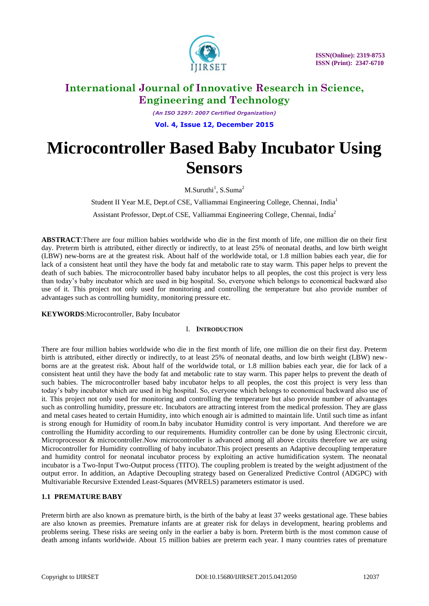

*(An ISO 3297: 2007 Certified Organization)* **Vol. 4, Issue 12, December 2015**

# **Microcontroller Based Baby Incubator Using Sensors**

 $M.Suruthi<sup>1</sup>, S.Suma<sup>2</sup>$ 

Student II Year M.E, Dept.of CSE, Valliammai Engineering College, Chennai, India<sup>1</sup> Assistant Professor, Dept.of CSE, Valliammai Engineering College, Chennai, India<sup>2</sup>

**ABSTRACT**:There are four million babies worldwide who die in the first month of life, one million die on their first day. Preterm birth is attributed, either directly or indirectly, to at least 25% of neonatal deaths, and low birth weight (LBW) new-borns are at the greatest risk. About half of the worldwide total, or 1.8 million babies each year, die for lack of a consistent heat until they have the body fat and metabolic rate to stay warm. This paper helps to prevent the death of such babies. The microcontroller based baby incubator helps to all peoples, the cost this project is very less than today's baby incubator which are used in big hospital. So, everyone which belongs to economical backward also use of it. This project not only used for monitoring and controlling the temperature but also provide number of advantages such as controlling humidity, monitoring pressure etc.

**KEYWORDS**:Microcontroller, Baby Incubator

### I. **INTRODUCTION**

There are four million babies worldwide who die in the first month of life, one million die on their first day. Preterm birth is attributed, either directly or indirectly, to at least 25% of neonatal deaths, and low birth weight (LBW) newborns are at the greatest risk. About half of the worldwide total, or 1.8 million babies each year, die for lack of a consistent heat until they have the body fat and metabolic rate to stay warm. This paper helps to prevent the death of such babies. The microcontroller based baby incubator helps to all peoples, the cost this project is very less than today's baby incubator which are used in big hospital. So, everyone which belongs to economical backward also use of it. This project not only used for monitoring and controlling the temperature but also provide number of advantages such as controlling humidity, pressure etc. Incubators are attracting interest from the medical profession. They are glass and metal cases heated to certain Humidity, into which enough air is admitted to maintain life. Until such time as infant is strong enough for Humidity of room.In baby incubator Humidity control is very important. And therefore we are controlling the Humidity according to our requirements. Humidity controller can be done by using Electronic circuit, Microprocessor & microcontroller.Now microcontroller is advanced among all above circuits therefore we are using Microcontroller for Humidity controlling of baby incubator.This project presents an Adaptive decoupling temperature and humidity control for neonatal incubator process by exploiting an active humidification system. The neonatal incubator is a Two-Input Two-Output process (TITO). The coupling problem is treated by the weight adjustment of the output error. In addition, an Adaptive Decoupling strategy based on Generalized Predictive Control (ADGPC) with Multivariable Recursive Extended Least-Squares (MVRELS) parameters estimator is used.

## **1.1 PREMATURE BABY**

Preterm birth are also known as premature birth, is the birth of the baby at least 37 weeks gestational age. These babies are also known as preemies. Premature infants are at greater risk for delays in development, hearing problems and problems seeing. These risks are seeing only in the earlier a baby is born. Preterm birth is the most common cause of death among infants worldwide. About 15 million babies are preterm each year. I many countries rates of premature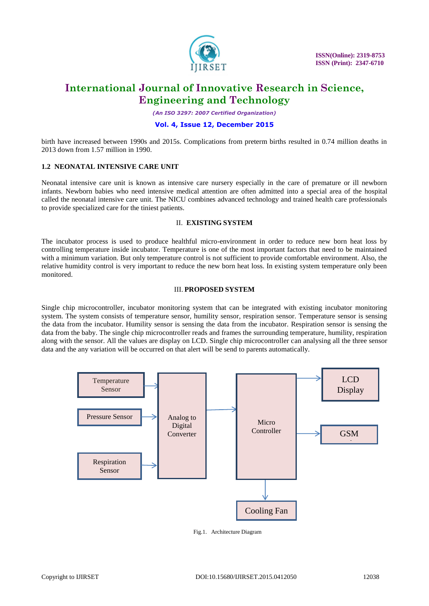

*(An ISO 3297: 2007 Certified Organization)*

### **Vol. 4, Issue 12, December 2015**

birth have increased between 1990s and 2015s. Complications from preterm births resulted in 0.74 million deaths in 2013 down from 1.57 million in 1990.

### **1.2 NEONATAL INTENSIVE CARE UNIT**

Neonatal intensive care unit is known as intensive care nursery especially in the care of premature or ill newborn infants. Newborn babies who need intensive medical attention are often admitted into a special area of the hospital called the neonatal intensive care unit. The NICU combines advanced technology and trained health care professionals to provide specialized care for the tiniest patients.

#### II. **EXISTING SYSTEM**

The incubator process is used to produce healthful micro-environment in order to reduce new born heat loss by controlling temperature inside incubator. Temperature is one of the most important factors that need to be maintained with a minimum variation. But only temperature control is not sufficient to provide comfortable environment. Also, the relative humidity control is very important to reduce the new born heat loss. In existing system temperature only been monitored.

### III. **PROPOSED SYSTEM**

Single chip microcontroller, incubator monitoring system that can be integrated with existing incubator monitoring system. The system consists of temperature sensor, humility sensor, respiration sensor. Temperature sensor is sensing the data from the incubator. Humility sensor is sensing the data from the incubator. Respiration sensor is sensing the data from the baby. The single chip microcontroller reads and frames the surrounding temperature, humility, respiration along with the sensor. All the values are display on LCD. Single chip microcontroller can analysing all the three sensor data and the any variation will be occurred on that alert will be send to parents automatically.



Fig.1. Architecture Diagram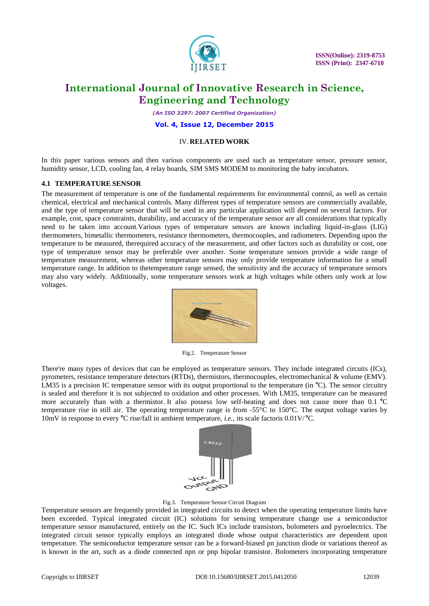

 **ISSN(Online): 2319-8753 ISSN (Print): 2347-6710**

# **International Journal of Innovative Research in Science, Engineering and Technology**

*(An ISO 3297: 2007 Certified Organization)*

**Vol. 4, Issue 12, December 2015**

#### IV.**RELATED WORK**

In this paper various sensors and then various components are used such as temperature sensor, pressure sensor, humidity sensor, LCD, cooling fan, 4 relay boards, SIM SMS MODEM to monitoring the baby incubators.

#### **4.1 TEMPERATURE SENSOR**

The measurement of temperature is one of the fundamental requirements for environmental control, as well as certain chemical, electrical and mechanical controls. Many different types of temperature sensors are commercially available, and the type of temperature sensor that will be used in any particular application will depend on several factors. For example, cost, space constraints, durability, and accuracy of the temperature sensor are all considerations that typically need to be taken into account.Various types of temperature sensors are known including liquid-in-glass (LIG) thermometers, bimetallic thermometers, resistance thermometers, thermocouples, and radiometers. Depending upon the temperature to be measured, therequired accuracy of the measurement, and other factors such as durability or cost, one type of temperature sensor may be preferable over another. Some temperature sensors provide a wide range of temperature measurement, whereas other temperature sensors may only provide temperature information for a small temperature range. In addition to thetemperature range sensed, the sensitivity and the accuracy of temperature sensors may also vary widely. Additionally, some temperature sensors work at high voltages while others only work at low voltages.



Fig.2. Temperature Sensor

There're many types of devices that can be employed as temperature sensors. They include integrated circuits (ICs), pyrometers, resistance temperature detectors (RTDs), thermistors, thermocouples, electromechanical & volume (EMV). LM35 is a precision IC temperature sensor with its output proportional to the temperature (in <sup>o</sup>C). The sensor circuitry is sealed and therefore it is not subjected to oxidation and other processes. With LM35, temperature can be measured more accurately than with a thermistor. It also possess low self-heating and does not cause more than 0.1 <sup>o</sup>C temperature rise in still air. The operating temperature range is from -55°C to 150°C. The output voltage varies by 10mV in response to every **<sup>o</sup>**C rise/fall in ambient temperature, *i.e.,* its scale factoris 0.01V/ **<sup>o</sup>**C.



Fig.3. Temperature Sensor Circuit Diagram

Temperature sensors are frequently provided in integrated circuits to detect when the operating temperature limits have been exceeded. Typical integrated circuit (IC) solutions for sensing temperature change use a semiconductor temperature sensor manufactured, entirely on the IC. Such ICs include transistors, bolometers and pyroelectrics. The integrated circuit sensor typically employs an integrated diode whose output characteristics are dependent upon temperature. The semiconductor temperature sensor can be a forward-biased pn junction diode or variations thereof as is known in the art, such as a diode connected npn or pnp bipolar transistor. Bolometers incorporating temperature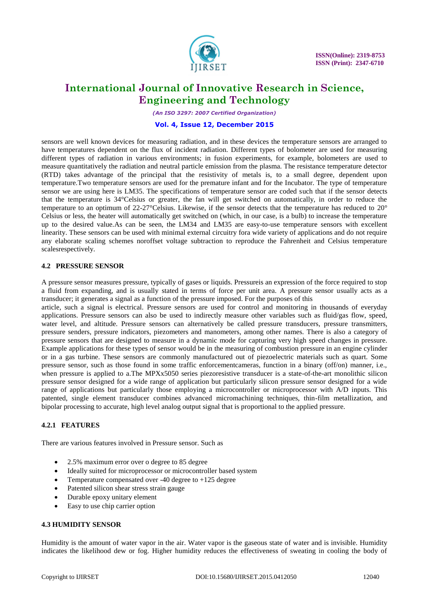

*(An ISO 3297: 2007 Certified Organization)*

#### **Vol. 4, Issue 12, December 2015**

sensors are well known devices for measuring radiation, and in these devices the temperature sensors are arranged to have temperatures dependent on the flux of incident radiation. Different types of bolometer are used for measuring different types of radiation in various environments; in fusion experiments, for example, bolometers are used to measure quantitatively the radiation and neutral particle emission from the plasma. The resistance temperature detector (RTD) takes advantage of the principal that the resistivity of metals is, to a small degree, dependent upon temperature.Two temperature sensors are used for the premature infant and for the Incubator. The type of temperature sensor we are using here is LM35. The specifications of temperature sensor are coded such that if the sensor detects that the temperature is 34°Celsius or greater, the fan will get switched on automatically, in order to reduce the temperature to an optimum of 22-27 $^{\circ}$ Celsius. Likewise, if the sensor detects that the temperature has reduced to 20 $^{\circ}$ Celsius or less, the heater will automatically get switched on (which, in our case, is a bulb) to increase the temperature up to the desired value.As can be seen, the LM34 and LM35 are easy-to-use temperature sensors with excellent linearity. These sensors can be used with minimal external circuitry fora wide variety of applications and do not require any elaborate scaling schemes noroffset voltage subtraction to reproduce the Fahrenheit and Celsius temperature scalesrespectively.

### **4.2 PRESSURE SENSOR**

A pressure sensor measures pressure, typically of gases or liquids. Pressureis an expression of the force required to stop a fluid from expanding, and is usually stated in terms of force per unit area. A pressure sensor usually acts as a transducer; it generates a signal as a function of the pressure imposed. For the purposes of this

article, such a signal is electrical. Pressure sensors are used for control and monitoring in thousands of everyday applications. Pressure sensors can also be used to indirectly measure other variables such as fluid/gas flow, speed, water level, and altitude. Pressure sensors can alternatively be called pressure transducers, pressure transmitters, pressure senders, pressure indicators, piezometers and manometers, among other names. There is also a category of pressure sensors that are designed to measure in a dynamic mode for capturing very high speed changes in pressure. Example applications for these types of sensor would be in the measuring of combustion pressure in an engine cylinder or in a gas turbine. These sensors are commonly manufactured out of piezoelectric materials such as quart. Some pressure sensor, such as those found in some traffic enforcementcameras, function in a binary (off/on) manner, i.e., when pressure is applied to a.The MPXx5050 series piezoresistive transducer is a state-of-the-art monolithic silicon pressure sensor designed for a wide range of application but particularly silicon pressure sensor designed for a wide range of applications but particularly those employing a microcontroller or microprocessor with A/D inputs. This patented, single element transducer combines advanced micromachining techniques, thin-film metallization, and bipolar processing to accurate, high level analog output signal that is proportional to the applied pressure.

### **4.2.1 FEATURES**

There are various features involved in Pressure sensor. Such as

- 2.5% maximum error over o degree to 85 degree
- Ideally suited for microprocessor or microcontroller based system
- Temperature compensated over -40 degree to +125 degree
- Patented silicon shear stress strain gauge
- Durable epoxy unitary element
- Easy to use chip carrier option

#### **4.3 HUMIDITY SENSOR**

Humidity is the amount of water vapor in the air. Water vapor is the gaseous state of water and is invisible. Humidity indicates the likelihood dew or fog. Higher humidity reduces the effectiveness of sweating in cooling the body of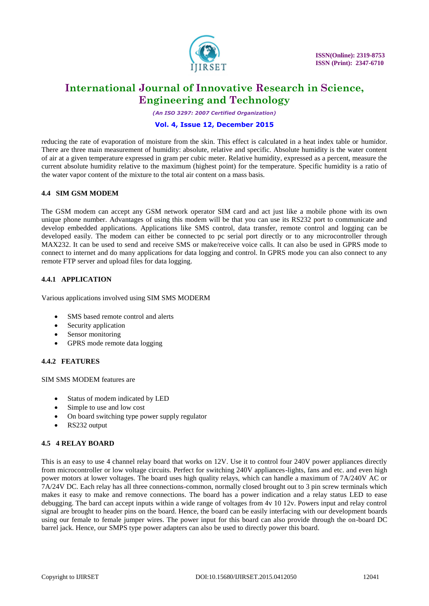

*(An ISO 3297: 2007 Certified Organization)*

### **Vol. 4, Issue 12, December 2015**

reducing the rate of evaporation of moisture from the skin. This effect is calculated in a heat index table or humidor. There are three main measurement of humidity: absolute, relative and specific. Absolute humidity is the water content of air at a given temperature expressed in gram per cubic meter. Relative humidity, expressed as a percent, measure the current absolute humidity relative to the maximum (highest point) for the temperature. Specific humidity is a ratio of the water vapor content of the mixture to the total air content on a mass basis.

### **4.4 SIM GSM MODEM**

The GSM modem can accept any GSM network operator SIM card and act just like a mobile phone with its own unique phone number. Advantages of using this modem will be that you can use its RS232 port to communicate and develop embedded applications. Applications like SMS control, data transfer, remote control and logging can be developed easily. The modem can either be connected to pc serial port directly or to any microcontroller through MAX232. It can be used to send and receive SMS or make/receive voice calls. It can also be used in GPRS mode to connect to internet and do many applications for data logging and control. In GPRS mode you can also connect to any remote FTP server and upload files for data logging.

### **4.4.1 APPLICATION**

Various applications involved using SIM SMS MODERM

- SMS based remote control and alerts
- Security application
- Sensor monitoring
- GPRS mode remote data logging

### **4.4.2 FEATURES**

SIM SMS MODEM features are

- Status of modem indicated by LED
- Simple to use and low cost
- On board switching type power supply regulator
- RS232 output

### **4.5 4 RELAY BOARD**

This is an easy to use 4 channel relay board that works on 12V. Use it to control four 240V power appliances directly from microcontroller or low voltage circuits. Perfect for switching 240V appliances-lights, fans and etc. and even high power motors at lower voltages. The board uses high quality relays, which can handle a maximum of 7A/240V AC or 7A/24V DC. Each relay has all three connections-common, normally closed brought out to 3 pin screw terminals which makes it easy to make and remove connections. The board has a power indication and a relay status LED to ease debugging. The bard can accept inputs within a wide range of voltages from 4v 10 12v. Powers input and relay control signal are brought to header pins on the board. Hence, the board can be easily interfacing with our development boards using our female to female jumper wires. The power input for this board can also provide through the on-board DC barrel jack. Hence, our SMPS type power adapters can also be used to directly power this board.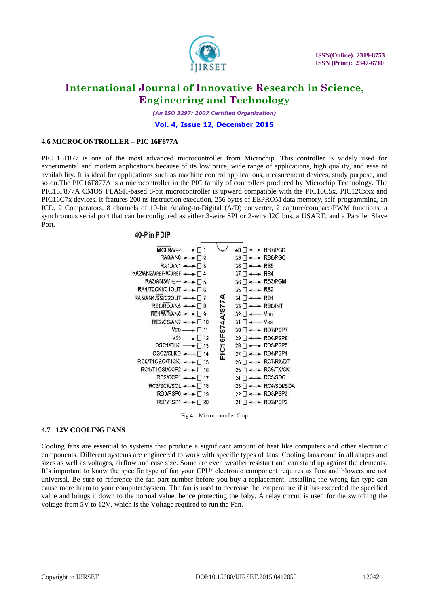

*(An ISO 3297: 2007 Certified Organization)*

#### **Vol. 4, Issue 12, December 2015**

#### **4.6 MICROCONTROLLER – PIC 16F877A**

PIC 16F877 is one of the most advanced microcontroller from Microchip. This controller is widely used for experimental and modern applications because of its low price, wide range of applications, high quality, and ease of availability. It is ideal for applications such as machine control applications, measurement devices, study purpose, and so on.The PIC16F877A is a microcontroller in the PIC family of controllers produced by Microchip Technology. The PIC16F877A CMOS FLASH-based 8-bit microcontroller is upward compatible with the PIC16C5x, PIC12Cxxx and PIC16C7x devices. It features 200 ns instruction execution, 256 bytes of EEPROM data memory, self-programming, an ICD, 2 Comparators, 8 channels of 10-bit Analog-to-Digital (A/D) converter, 2 capture/compare/PWM functions, a synchronous serial port that can be configured as either 3-wire SPI or 2-wire I2C bus, a USART, and a Parallel Slave Port.

#### 40-Pin PDIP



**4.7 12V COOLING FANS**

Cooling fans are essential to systems that produce a significant amount of heat like computers and other electronic components. Different systems are engineered to work with specific types of fans. Cooling fans come in all shapes and sizes as well as voltages, airflow and case size. Some are even weather resistant and can stand up against the elements. It's important to know the specific type of fan your CPU/ electronic component requires as fans and blowers are not universal. Be sure to reference the fan part number before you buy a replacement. Installing the wrong fan type can cause more harm to your computer/system. The fan is used to decrease the temperature if it has exceeded the specified value and brings it down to the normal value, hence protecting the baby. A relay circuit is used for the switching the voltage from 5V to 12V, which is the Voltage required to run the Fan.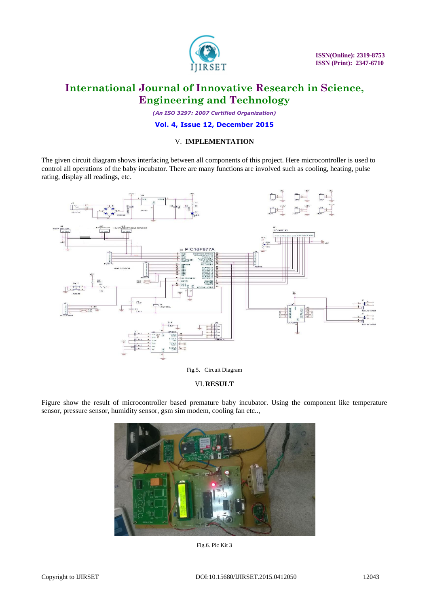

 **ISSN(Online): 2319-8753 ISSN (Print): 2347-6710**

# **International Journal of Innovative Research in Science, Engineering and Technology**

*(An ISO 3297: 2007 Certified Organization)*

**Vol. 4, Issue 12, December 2015**

### V. **IMPLEMENTATION**

The given circuit diagram shows interfacing between all components of this project. Here microcontroller is used to control all operations of the baby incubator. There are many functions are involved such as cooling, heating, pulse rating, display all readings, etc.



Fig.5. Circuit Diagram

### VI.**RESULT**

Figure show the result of microcontroller based premature baby incubator. Using the component like temperature sensor, pressure sensor, humidity sensor, gsm sim modem, cooling fan etc..,



Fig.6. Pic Kit 3